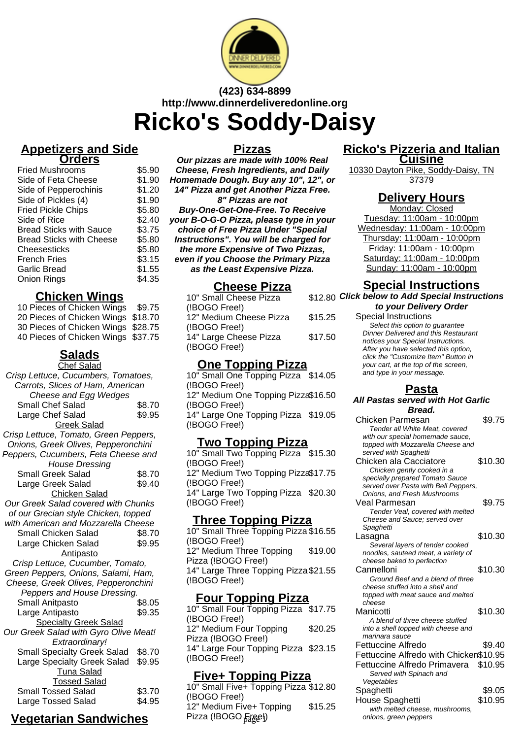

# **(423) 634-8899 http://www.dinnerdeliveredonline.org Ricko's Soddy-Daisy**

#### **Appetizers and Side Orders**

| <b>Fried Mushrooms</b>          | \$5.90 |
|---------------------------------|--------|
| Side of Feta Cheese             | \$1.90 |
| Side of Pepperochinis           | \$1.20 |
| Side of Pickles (4)             | \$1.90 |
| <b>Fried Pickle Chips</b>       | \$5.80 |
| Side of Rice                    | \$2.40 |
| <b>Bread Sticks with Sauce</b>  | \$3.75 |
| <b>Bread Sticks with Cheese</b> | \$5.80 |
| Cheesesticks                    | \$5.80 |
| <b>French Fries</b>             | \$3.15 |
| Garlic Bread                    | \$1.55 |
| Onion Rings                     | \$4.35 |

#### **Chicken Wings**

| 10 Pieces of Chicken Wings         | \$9.75 |
|------------------------------------|--------|
| 20 Pieces of Chicken Wings \$18.70 |        |
|                                    |        |
| 30 Pieces of Chicken Wings \$28.75 |        |
| 40 Pieces of Chicken Wings \$37.75 |        |

## **Salads**

| <b>Chef Salad</b>                     |        |
|---------------------------------------|--------|
| Crisp Lettuce, Cucumbers, Tomatoes,   |        |
| Carrots, Slices of Ham, American      |        |
| Cheese and Egg Wedges                 |        |
| Small Chef Salad                      | \$8.70 |
| Large Chef Salad                      | \$9.95 |
| <b>Greek Salad</b>                    |        |
| Crisp Lettuce, Tomato, Green Peppers, |        |
| Onions, Greek Olives, Pepperonchini   |        |
| Peppers, Cucumbers, Feta Cheese and   |        |
| <b>House Dressing</b>                 |        |
| <b>Small Greek Salad</b>              | \$8.70 |
| Large Greek Salad                     | \$9.40 |
| <b>Chicken Salad</b>                  |        |
| Our Greek Salad covered with Chunks   |        |
| of our Grecian style Chicken, topped  |        |
| with American and Mozzarella Cheese   |        |
| Small Chicken Salad                   | \$8.70 |
| Large Chicken Salad                   | \$9.95 |
| <b>Antipasto</b>                      |        |
| Crisp Lettuce, Cucumber, Tomato,      |        |
| Green Peppers, Onions, Salami, Ham,   |        |
| Cheese, Greek Olives, Pepperonchini   |        |
| Peppers and House Dressing.           |        |
| <b>Small Anitpasto</b>                | \$8.05 |
| Large Antipasto                       | \$9.35 |
| <b>Specialty Greek Salad</b>          |        |
| Our Greek Salad with Gyro Olive Meat! |        |
| Extraordinary!                        |        |
| <b>Small Specialty Greek Salad</b>    | \$8.70 |
| Large Specialty Greek Salad           | \$9.95 |
| <b>Tuna Salad</b>                     |        |
| <b>Tossed Salad</b>                   |        |
| <b>Small Tossed Salad</b>             | \$3.70 |
| Large Tossed Salad                    | \$4.95 |

# **Vegetarian Sandwiches**

#### **Pizzas**

**Our pizzas are made with 100% Real Cheese, Fresh Ingredients, and Daily Homemade Dough. Buy any 10", 12", or 14" Pizza and get Another Pizza Free. 8" Pizzas are not Buy-One-Get-One-Free. To Receive your B-O-G-O Pizza, please type in your choice of Free Pizza Under "Special Instructions". You will be charged for the more Expensive of Two Pizzas, even if you Choose the Primary Pizza as the Least Expensive Pizza.**

### **Cheese Pizza**

| 10" Small Cheese Pizza  | \$12.80 |
|-------------------------|---------|
| (!BOGO Free!)           |         |
| 12" Medium Cheese Pizza | \$15.25 |
| (!BOGO Free!)           |         |
| 14" Large Cheese Pizza  | \$17.50 |
| (!BOGO Free!)           |         |

### **One Topping Pizza**

10" Small One Topping Pizza \$14.05 (!BOGO Free!) 12" Medium One Topping Pizza \$16.50 (!BOGO Free!) 14" Large One Topping Pizza \$19.05 (!BOGO Free!)

## **Two Topping Pizza**

10" Small Two Topping Pizza \$15.30 (!BOGO Free!) 12" Medium Two Topping Pizza \$17.75 (!BOGO Free!) 14" Large Two Topping Pizza \$20.30 (!BOGO Free!)

### **Three Topping Pizza**

10" Small Three Topping Pizza \$16.55 (!BOGO Free!) 12" Medium Three Topping Pizza (!BOGO Free!) \$19.00 14" Large Three Topping Pizza \$21.55 (!BOGO Free!)

### **Four Topping Pizza**

10" Small Four Topping Pizza \$17.75 (!BOGO Free!) 12" Medium Four Topping Pizza (!BOGO Free!) \$20.25 14" Large Four Topping Pizza \$23.15 (!BOGO Free!)

### **Five+ Topping Pizza**

10" Small Five+ Topping Pizza \$12.80 (!BOGO Free!) 12" Medium Five+ Topping Pizza (!BOGO Fage!) \$15.25

#### **Ricko's Pizzeria and Italian Cuisine**

10330 Dayton Pike, Soddy-Daisy, TN 37379

### **Delivery Hours**

Monday: Closed Tuesday: 11:00am - 10:00pm Wednesday: 11:00am - 10:00pm Thursday: 11:00am - 10:00pm Friday: 11:00am - 10:00pm Saturday: 11:00am - 10:00pm Sunday: 11:00am - 10:00pm

### **Special Instructions**

**Click below to Add Special Instructions to your Delivery Order**

Special Instructions Select this option to quarantee Dinner Delivered and this Restaurant notices your Special Instructions. After you have selected this option, click the "Customize Item" Button in your cart, at the top of the screen, and type in your message.

### **Pasta**

#### **All Pastas served with Hot Garlic Bread.**

| Chicken Parmesan                       | \$9.75  |
|----------------------------------------|---------|
| Tender all White Meat, covered         |         |
| with our special homemade sauce,       |         |
| topped with Mozzarella Cheese and      |         |
| served with Spaghetti                  |         |
| Chicken ala Cacciatore                 | \$10.30 |
| Chicken gently cooked in a             |         |
| specially prepared Tomato Sauce        |         |
| served over Pasta with Bell Peppers,   |         |
| Onions, and Fresh Mushrooms            |         |
| Veal Parmesan                          | \$9.75  |
| Tender Veal, covered with melted       |         |
| Cheese and Sauce: served over          |         |
| Spaghetti                              |         |
| Lasagna                                | \$10.30 |
| Several layers of tender cooked        |         |
| noodles, sauteed meat, a variety of    |         |
| cheese baked to perfection             |         |
| Cannelloni                             | \$10.30 |
| Ground Beef and a blend of three       |         |
| cheese stuffed into a shell and        |         |
| topped with meat sauce and melted      |         |
| cheese                                 |         |
| Manicotti                              | \$10.30 |
| A blend of three cheese stuffed        |         |
| into a shell topped with cheese and    |         |
| marinara sauce                         |         |
| Fettuccine Alfredo                     | \$9.40  |
| Fettuccine Alfredo with Chicken\$10.95 |         |
| Fettuccine Alfredo Primavera           | \$10.95 |
| Served with Spinach and                |         |
| Vegetables                             |         |
| Spaghetti                              | \$9.05  |
| House Spaghetti                        | \$10.95 |
| with melted cheese, mushrooms,         |         |
| onions, green peppers                  |         |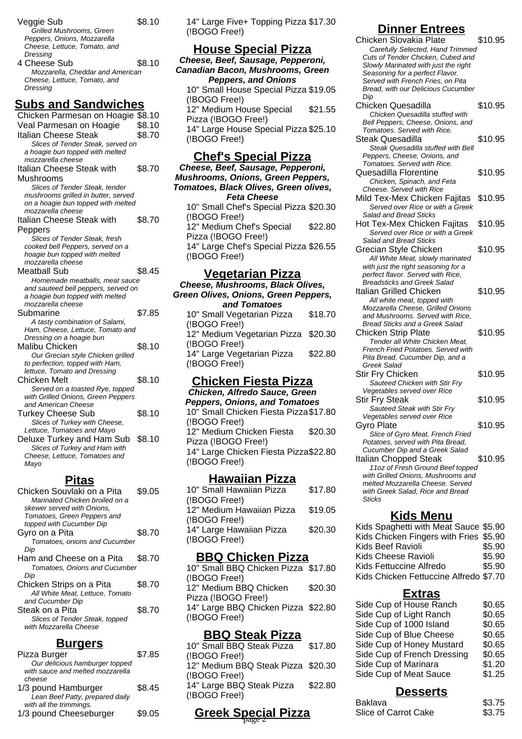- Veggie Sub \$8.10 Grilled Mushrooms, Green Peppers, Onions, Mozzarella Cheese, Lettuce, Tomato, and **Dressing** 4 Cheese Sub \$8.10 Mozzarella, Cheddar and American
- Cheese, Lettuce, Tomato, and **Dressing**

## **Subs and Sandwiches**

Chicken Parmesan on Hoagie \$8.10 Veal Parmesan on Hoagie \$8.10 Italian Cheese Steak \$8.70 Slices of Tender Steak, served on a hoagie bun topped with melted mozzarella cheese Italian Cheese Steak with Mushrooms \$8.70 Slices of Tender Steak, tender mushrooms grilled in butter, served on a hoagie bun topped with melted mozzarella cheese Italian Cheese Steak with Peppers \$8.70 Slices of Tender Steak, fresh cooked bell Peppers, served on a hoagie bun topped with melted mozzarella cheese Meatball Sub \$8.45 Homemade meatballs, meat sauce and sauteed bell peppers, served on a hoagie bun topped with melted mozzarella cheese Submarine \$7.85 A tasty combination of Salami, Ham, Cheese, Lettuce, Tomato and Dressing on a hoagie bun Malibu Chicken \$8.10 Our Grecian style Chicken grilled to perfection, topped with Ham, lettuce, Tomato and Dressing Chicken Melt 58.10 Served on a toasted Rye, topped with Grilled Onions, Green Peppers and American Cheese Turkey Cheese Sub \$8.10 Slices of Turkey with Cheese, Lettuce, Tomatoes and Mayo Deluxe Turkey and Ham Sub \$8.10 Slices of Turkey and Ham with Cheese, Lettuce, Tomatoes and Mayo

#### **Pitas**

| Chicken Souvlaki on a Pita      | \$9.05 |
|---------------------------------|--------|
| Marinated Chicken broiled on a  |        |
| skewer served with Onions,      |        |
| Tomatoes, Green Peppers and     |        |
| topped with Cucumber Dip        |        |
| Gyro on a Pita                  | \$8.70 |
| Tomatoes, onions and Cucumber   |        |
| Dip                             |        |
| Ham and Cheese on a Pita        | \$8.70 |
| Tomatoes, Onions and Cucumber   |        |
| Dip                             |        |
| Chicken Strips on a Pita        | \$8.70 |
| All White Meat, Lettuce, Tomato |        |
| and Cucumber Dip                |        |
| Steak on a Pita                 | \$8.70 |
| Slices of Tender Steak, topped  |        |
| with Mozzarella Cheese          |        |
|                                 |        |

### **Burgers**

| Pizza Burger                                      | \$7.85 |
|---------------------------------------------------|--------|
| Our delicious hamburger topped                    |        |
| with sauce and melted mozzarella<br>cheese        |        |
| 1/3 pound Hamburger                               | \$8.45 |
| Lean Beef Patty, prepared daily                   |        |
| with all the trimmings.<br>1/3 pound Cheeseburger | \$9.05 |
|                                                   |        |

14" Large Five+ Topping Pizza \$17.30 (!BOGO Free!)

## **House Special Pizza**

**Cheese, Beef, Sausage, Pepperoni, Canadian Bacon, Mushrooms, Green Peppers, and Onions** 10" Small House Special Pizza \$19.05 (!BOGO Free!) 12" Medium House Special Pizza (!BOGO Free!) \$21.55 14" Large House Special Pizza \$25.10 (!BOGO Free!)

### **Chef's Special Pizza**

**Cheese, Beef, Sausage, Pepperoni, Mushrooms, Onions, Green Peppers, Tomatoes, Black Olives, Green olives, Feta Cheese** 10" Small Chef's Special Pizza \$20.30 (!BOGO Free!) 12" Medium Chef's Special Pizza (!BOGO Free!) \$22.80

14" Large Chef's Special Pizza \$26.55 (!BOGO Free!)

#### **Vegetarian Pizza**

**Cheese, Mushrooms, Black Olives, Green Olives, Onions, Green Peppers, and Tomatoes** 10" Small Vegetarian Pizza (!BOGO Free!) \$18.70 12" Medium Vegetarian Pizza (!BOGO Free!) \$20.30 14" Large Vegetarian Pizza (!BOGO Free!) \$22.80

#### **Chicken Fiesta Pizza**

**Chicken, Alfredo Sauce, Green Peppers, Onions, and Tomatoes** 10" Small Chicken Fiesta Pizza \$17.80 (!BOGO Free!) 12" Medium Chicken Fiesta Pizza (!BOGO Free!) \$20.30 14" Large Chicken Fiesta Pizza \$22.80 (!BOGO Free!)

#### **Hawaiian Pizza**

| 10" Small Hawaiian Pizza  | \$17.80 |
|---------------------------|---------|
| (!BOGO Free!)             |         |
| 12" Medium Hawaiian Pizza | \$19.05 |
| (!BOGO Free!)             |         |
| 14" Large Hawaiian Pizza  | \$20.30 |
| (!BOGO Free!)             |         |
|                           |         |

#### **BBQ Chicken Pizza**

10" Small BBQ Chicken Pizza \$17.80 (!BOGO Free!) 12" Medium BBQ Chicken Pizza (!BOGO Free!) \$20.30 14" Large BBQ Chicken Pizza \$22.80 (!BOGO Free!)

#### **BBQ Steak Pizza**

| 10" Small BBQ Steak Pizza          | \$17.80 |
|------------------------------------|---------|
| (!BOGO Free!)                      |         |
| 12" Medium BBQ Steak Pizza \$20.30 |         |
| (!BOGO Free!)                      |         |
| 14" Large BBQ Steak Pizza          | \$22.80 |
| (!BOGO Free!)                      |         |
|                                    |         |

# **Greek Special Pizza** page 2

### **Dinner Entrees**

Chicken Slovakia Plate \$10.95 Carefully Selected, Hand Trimmed Cuts of Tender Chicken, Cubed and Slowly Marinated with just the right Seasoning for a perfect Flavor. Served with French Fries, on Pita Bread, with our Delicious Cucumber Dip Chicken Quesadilla \$10.95 Chicken Quesadilla stuffed with Bell Peppers, Cheese, Onions, and Tomatoes. Served with Rice. Steak Quesadilla  $$10.95$ Steak Quesadilla stuffed with Bell Peppers, Cheese, Onions, and Tomatoes. Served with Rice. Quesadilla Florentine \$10.95 Chicken, Spinach, and Feta Cheese. Served with Rice Mild Tex-Mex Chicken Fajitas \$10.95 Served over Rice or with a Greek Salad and Bread Sticks Hot Tex-Mex Chicken Fajitas \$10.95 Served over Rice or with a Greek Salad and Bread Sticks Grecian Style Chicken \$10.95 All White Meat, slowly marinated with just the right seasoning for a perfect flavor. Served with Rice, Breadsticks and Greek Salad Italian Grilled Chicken \$10.95 All white meat, topped with Mozzarella Cheese, Grilled Onions and Mushrooms. Served with Rice, Bread Sticks and a Greek Salad Chicken Strip Plate \$10.95 Tender all White Chicken Meat, French Fried Potatoes. Served with Pita Bread, Cucumber Dip, and a Greek Salad Stir Fry Chicken \$10.95 Sauteed Chicken with Stir Fry Vegetables served over Rice Stir Fry Steak \$10.95 Sauteed Steak with Stir Fry Vegetables served over Rice Gyro Plate \$10.95 Slice of Gyro Meat, French Fried Potatoes, served with Pita Bread, Cucumber Dip and a Greek Salad Italian Chopped Steak \$10.95 11oz of Fresh Ground Beef topped with Grilled Onions, Mushrooms and melted Mozzarella Cheese. Served with Greek Salad, Rice and Bread **Sticks** 

### **Kids Menu**

| Kids Spaghetti with Meat Sauce \$5.90  |        |
|----------------------------------------|--------|
| Kids Chicken Fingers with Fries \$5.90 |        |
| Kids Beef Ravioli                      | \$5.90 |
| Kids Cheese Ravioli                    | \$5.90 |
| Kids Fettuccine Alfredo                | \$5.90 |
| Kids Chicken Fettuccine Alfredo \$7.70 |        |
|                                        |        |

#### **Extras**

| Side Cup of House Ranch     | \$0.65 |
|-----------------------------|--------|
| Side Cup of Light Ranch     | \$0.65 |
| Side Cup of 1000 Island     | \$0.65 |
| Side Cup of Blue Cheese     | \$0.65 |
| Side Cup of Honey Mustard   | \$0.65 |
| Side Cup of French Dressing | \$0.65 |
| Side Cup of Marinara        | \$1.20 |
| Side Cup of Meat Sauce      | \$1.25 |
|                             |        |

#### **Desserts**

| Baklava              | \$3.75 |
|----------------------|--------|
| Slice of Carrot Cake | \$3.75 |